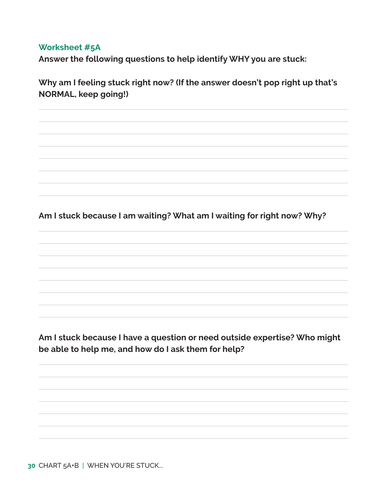## **Worksheet #5A**

**Answer the following questions to help identify WHY you are stuck:**

**Why am I feeling stuck right now? (If the answer doesn't pop right up that's NORMAL, keep going!)**

**Am I stuck because I am waiting? What am I waiting for right now? Why?** 

**Am I stuck because I have a question or need outside expertise? Who might be able to help me, and how do I ask them for help?** 

**30** CHART 5A+B | WHEN YOU'RE STUCK...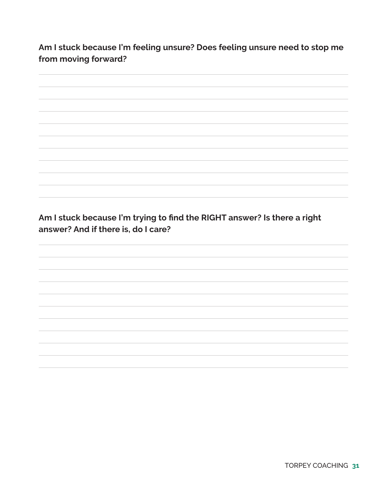**Am I stuck because I'm feeling unsure? Does feeling unsure need to stop me from moving forward?**

**Am I stuck because I'm trying to find the RIGHT answer? Is there a right answer? And if there is, do I care?**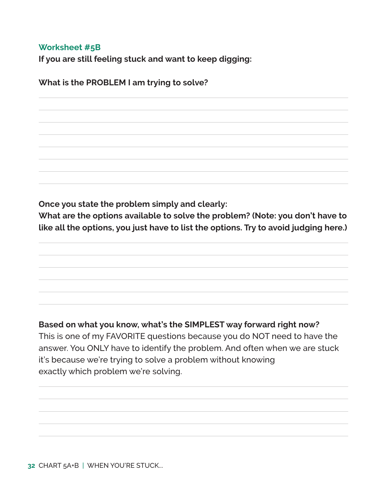## **Worksheet #5B**

**If you are still feeling stuck and want to keep digging:**

**What is the PROBLEM I am trying to solve?**

**Once you state the problem simply and clearly:**

**What are the options available to solve the problem? (Note: you don't have to like all the options, you just have to list the options. Try to avoid judging here.)**

## **Based on what you know, what's the SIMPLEST way forward right now?**

This is one of my FAVORITE questions because you do NOT need to have the answer. You ONLY have to identify the problem. And often when we are stuck it's because we're trying to solve a problem without knowing exactly which problem we're solving.